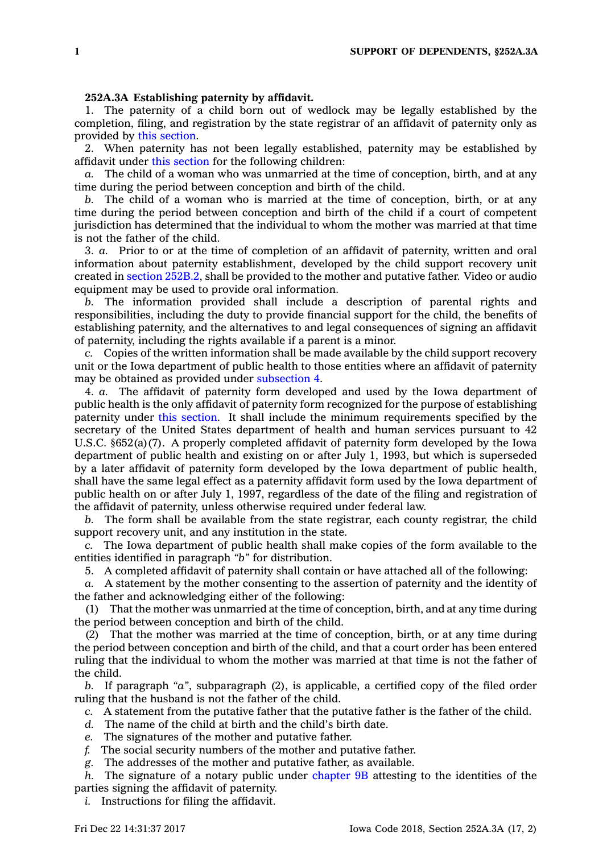## **252A.3A Establishing paternity by affidavit.**

1. The paternity of <sup>a</sup> child born out of wedlock may be legally established by the completion, filing, and registration by the state registrar of an affidavit of paternity only as provided by this [section](https://www.legis.iowa.gov/docs/code/252A.3A.pdf).

2. When paternity has not been legally established, paternity may be established by affidavit under this [section](https://www.legis.iowa.gov/docs/code/252A.3A.pdf) for the following children:

*a.* The child of <sup>a</sup> woman who was unmarried at the time of conception, birth, and at any time during the period between conception and birth of the child.

*b.* The child of <sup>a</sup> woman who is married at the time of conception, birth, or at any time during the period between conception and birth of the child if <sup>a</sup> court of competent jurisdiction has determined that the individual to whom the mother was married at that time is not the father of the child.

3. *a.* Prior to or at the time of completion of an affidavit of paternity, written and oral information about paternity establishment, developed by the child support recovery unit created in section [252B.2](https://www.legis.iowa.gov/docs/code/252B.2.pdf), shall be provided to the mother and putative father. Video or audio equipment may be used to provide oral information.

*b.* The information provided shall include <sup>a</sup> description of parental rights and responsibilities, including the duty to provide financial support for the child, the benefits of establishing paternity, and the alternatives to and legal consequences of signing an affidavit of paternity, including the rights available if <sup>a</sup> parent is <sup>a</sup> minor.

*c.* Copies of the written information shall be made available by the child support recovery unit or the Iowa department of public health to those entities where an affidavit of paternity may be obtained as provided under [subsection](https://www.legis.iowa.gov/docs/code/252A.3A.pdf) 4.

4. *a.* The affidavit of paternity form developed and used by the Iowa department of public health is the only affidavit of paternity form recognized for the purpose of establishing paternity under this [section](https://www.legis.iowa.gov/docs/code/252A.3A.pdf). It shall include the minimum requirements specified by the secretary of the United States department of health and human services pursuant to 42 U.S.C. §652(a)(7). A properly completed affidavit of paternity form developed by the Iowa department of public health and existing on or after July 1, 1993, but which is superseded by <sup>a</sup> later affidavit of paternity form developed by the Iowa department of public health, shall have the same legal effect as <sup>a</sup> paternity affidavit form used by the Iowa department of public health on or after July 1, 1997, regardless of the date of the filing and registration of the affidavit of paternity, unless otherwise required under federal law.

*b.* The form shall be available from the state registrar, each county registrar, the child support recovery unit, and any institution in the state.

*c.* The Iowa department of public health shall make copies of the form available to the entities identified in paragraph *"b"* for distribution.

5. A completed affidavit of paternity shall contain or have attached all of the following:

*a.* A statement by the mother consenting to the assertion of paternity and the identity of the father and acknowledging either of the following:

(1) That the mother was unmarried at the time of conception, birth, and at any time during the period between conception and birth of the child.

(2) That the mother was married at the time of conception, birth, or at any time during the period between conception and birth of the child, and that <sup>a</sup> court order has been entered ruling that the individual to whom the mother was married at that time is not the father of the child.

*b.* If paragraph *"a"*, subparagraph (2), is applicable, <sup>a</sup> certified copy of the filed order ruling that the husband is not the father of the child.

- *c.* A statement from the putative father that the putative father is the father of the child.
- *d.* The name of the child at birth and the child's birth date.
- *e.* The signatures of the mother and putative father.
- *f.* The social security numbers of the mother and putative father.
- *g.* The addresses of the mother and putative father, as available.

*h.* The signature of <sup>a</sup> notary public under [chapter](https://www.legis.iowa.gov/docs/code//9B.pdf) 9B attesting to the identities of the parties signing the affidavit of paternity.

*i.* Instructions for filing the affidavit.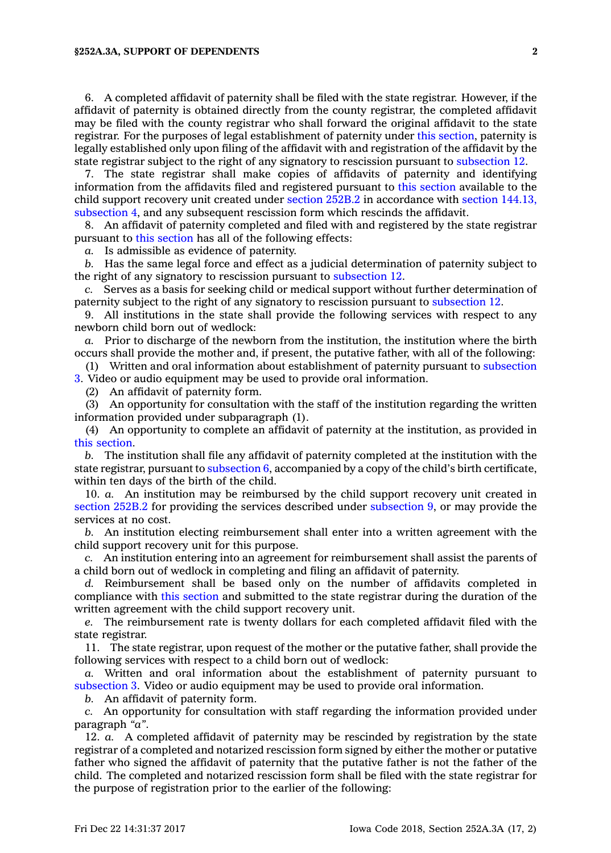## **§252A.3A, SUPPORT OF DEPENDENTS 2**

6. A completed affidavit of paternity shall be filed with the state registrar. However, if the affidavit of paternity is obtained directly from the county registrar, the completed affidavit may be filed with the county registrar who shall forward the original affidavit to the state registrar. For the purposes of legal establishment of paternity under this [section](https://www.legis.iowa.gov/docs/code/252A.3A.pdf), paternity is legally established only upon filing of the affidavit with and registration of the affidavit by the state registrar subject to the right of any signatory to rescission pursuant to [subsection](https://www.legis.iowa.gov/docs/code/252A.3A.pdf) 12.

7. The state registrar shall make copies of affidavits of paternity and identifying information from the affidavits filed and registered pursuant to this [section](https://www.legis.iowa.gov/docs/code/252A.3A.pdf) available to the child support recovery unit created under [section](https://www.legis.iowa.gov/docs/code/252B.2.pdf) 252B.2 in accordance with section [144.13,](https://www.legis.iowa.gov/docs/code/144.13.pdf) [subsection](https://www.legis.iowa.gov/docs/code/144.13.pdf) 4, and any subsequent rescission form which rescinds the affidavit.

8. An affidavit of paternity completed and filed with and registered by the state registrar pursuant to this [section](https://www.legis.iowa.gov/docs/code/252A.3A.pdf) has all of the following effects:

*a.* Is admissible as evidence of paternity.

*b.* Has the same legal force and effect as <sup>a</sup> judicial determination of paternity subject to the right of any signatory to rescission pursuant to [subsection](https://www.legis.iowa.gov/docs/code/252A.3A.pdf) 12.

*c.* Serves as <sup>a</sup> basis for seeking child or medical support without further determination of paternity subject to the right of any signatory to rescission pursuant to [subsection](https://www.legis.iowa.gov/docs/code/252A.3A.pdf) 12.

9. All institutions in the state shall provide the following services with respect to any newborn child born out of wedlock:

*a.* Prior to discharge of the newborn from the institution, the institution where the birth occurs shall provide the mother and, if present, the putative father, with all of the following:

(1) Written and oral information about establishment of paternity pursuant to [subsection](https://www.legis.iowa.gov/docs/code/252A.3A.pdf) [3](https://www.legis.iowa.gov/docs/code/252A.3A.pdf). Video or audio equipment may be used to provide oral information.

(2) An affidavit of paternity form.

(3) An opportunity for consultation with the staff of the institution regarding the written information provided under subparagraph (1).

(4) An opportunity to complete an affidavit of paternity at the institution, as provided in this [section](https://www.legis.iowa.gov/docs/code/252A.3A.pdf).

*b.* The institution shall file any affidavit of paternity completed at the institution with the state registrar, pursuant to [subsection](https://www.legis.iowa.gov/docs/code/252A.3A.pdf) 6, accompanied by <sup>a</sup> copy of the child's birth certificate, within ten days of the birth of the child.

10. *a.* An institution may be reimbursed by the child support recovery unit created in [section](https://www.legis.iowa.gov/docs/code/252B.2.pdf) 252B.2 for providing the services described under [subsection](https://www.legis.iowa.gov/docs/code/252A.3A.pdf) 9, or may provide the services at no cost.

*b.* An institution electing reimbursement shall enter into <sup>a</sup> written agreement with the child support recovery unit for this purpose.

*c.* An institution entering into an agreement for reimbursement shall assist the parents of <sup>a</sup> child born out of wedlock in completing and filing an affidavit of paternity.

*d.* Reimbursement shall be based only on the number of affidavits completed in compliance with this [section](https://www.legis.iowa.gov/docs/code/252A.3A.pdf) and submitted to the state registrar during the duration of the written agreement with the child support recovery unit.

The reimbursement rate is twenty dollars for each completed affidavit filed with the state registrar.

11. The state registrar, upon request of the mother or the putative father, shall provide the following services with respect to <sup>a</sup> child born out of wedlock:

*a.* Written and oral information about the establishment of paternity pursuant to [subsection](https://www.legis.iowa.gov/docs/code/252A.3A.pdf) 3. Video or audio equipment may be used to provide oral information.

*b.* An affidavit of paternity form.

*c.* An opportunity for consultation with staff regarding the information provided under paragraph *"a"*.

12. *a.* A completed affidavit of paternity may be rescinded by registration by the state registrar of <sup>a</sup> completed and notarized rescission form signed by either the mother or putative father who signed the affidavit of paternity that the putative father is not the father of the child. The completed and notarized rescission form shall be filed with the state registrar for the purpose of registration prior to the earlier of the following: